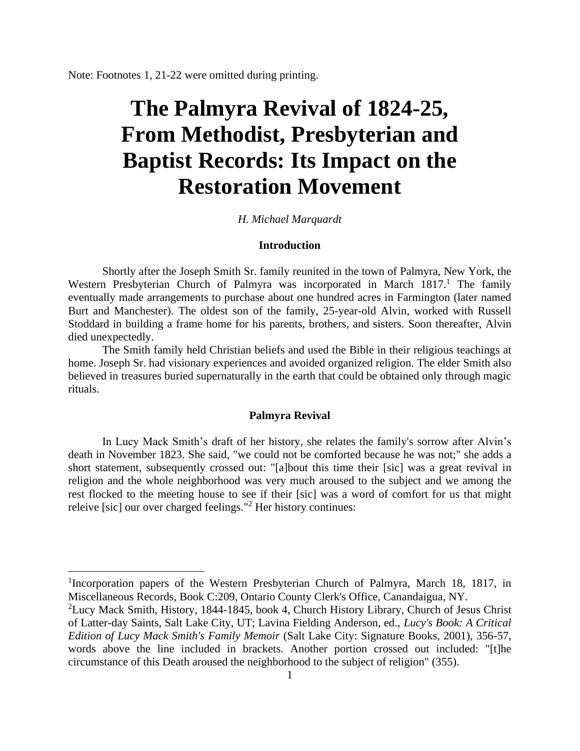Note: Footnotes 1, 21-22 were omitted during printing.

# **The Palmyra Revival of 1824-25, From Methodist, Presbyterian and Baptist Records: Its Impact on the Restoration Movement**

## *H. Michael Marquardt*

## **Introduction**

Shortly after the Joseph Smith Sr. family reunited in the town of Palmyra, New York, the Western Presbyterian Church of Palmyra was incorporated in March  $1817<sup>1</sup>$ . The family eventually made arrangements to purchase about one hundred acres in Farmington (later named Burt and Manchester). The oldest son of the family, 25-year-old Alvin, worked with Russell Stoddard in building a frame home for his parents, brothers, and sisters. Soon thereafter, Alvin died unexpectedly.

The Smith family held Christian beliefs and used the Bible in their religious teachings at home. Joseph Sr. had visionary experiences and avoided organized religion. The elder Smith also believed in treasures buried supernaturally in the earth that could be obtained only through magic rituals.

## **Palmyra Revival**

In Lucy Mack Smith's draft of her history, she relates the family's sorrow after Alvin's death in November 1823. She said, "we could not be comforted because he was not;" she adds a short statement, subsequently crossed out: "[a]bout this time their [sic] was a great revival in religion and the whole neighborhood was very much aroused to the subject and we among the rest flocked to the meeting house to see if their [sic] was a word of comfort for us that might releive [sic] our over charged feelings."<sup>2</sup> Her history continues:

<sup>&</sup>lt;sup>1</sup>Incorporation papers of the Western Presbyterian Church of Palmyra, March 18, 1817, in Miscellaneous Records, Book C:209, Ontario County Clerk's Office, Canandaigua, NY.

<sup>&</sup>lt;sup>2</sup>Lucy Mack Smith, History, 1844-1845, book 4, Church History Library, Church of Jesus Christ of Latter-day Saints, Salt Lake City, UT; Lavina Fielding Anderson, ed., *Lucy's Book: A Critical Edition of Lucy Mack Smith's Family Memoir* (Salt Lake City: Signature Books, 2001), 356-57, words above the line included in brackets. Another portion crossed out included: "[t]he circumstance of this Death aroused the neighborhood to the subject of religion" (355).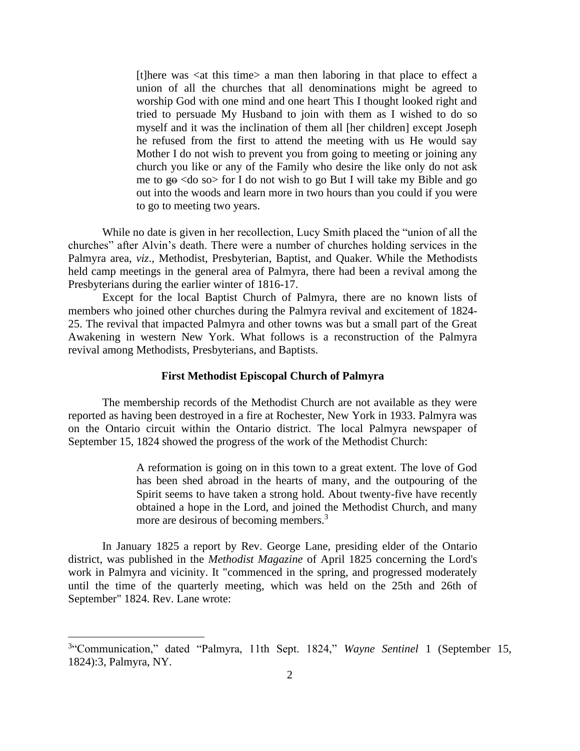[t]here was <at this time> a man then laboring in that place to effect a union of all the churches that all denominations might be agreed to worship God with one mind and one heart This I thought looked right and tried to persuade My Husband to join with them as I wished to do so myself and it was the inclination of them all [her children] except Joseph he refused from the first to attend the meeting with us He would say Mother I do not wish to prevent you from going to meeting or joining any church you like or any of the Family who desire the like only do not ask me to  $g_{\theta}$  <do so for I do not wish to go But I will take my Bible and go out into the woods and learn more in two hours than you could if you were to go to meeting two years.

While no date is given in her recollection, Lucy Smith placed the "union of all the churches" after Alvin's death. There were a number of churches holding services in the Palmyra area, *viz*., Methodist, Presbyterian, Baptist, and Quaker. While the Methodists held camp meetings in the general area of Palmyra, there had been a revival among the Presbyterians during the earlier winter of 1816-17.

Except for the local Baptist Church of Palmyra, there are no known lists of members who joined other churches during the Palmyra revival and excitement of 1824- 25. The revival that impacted Palmyra and other towns was but a small part of the Great Awakening in western New York. What follows is a reconstruction of the Palmyra revival among Methodists, Presbyterians, and Baptists.

## **First Methodist Episcopal Church of Palmyra**

The membership records of the Methodist Church are not available as they were reported as having been destroyed in a fire at Rochester, New York in 1933. Palmyra was on the Ontario circuit within the Ontario district. The local Palmyra newspaper of September 15, 1824 showed the progress of the work of the Methodist Church:

> A reformation is going on in this town to a great extent. The love of God has been shed abroad in the hearts of many, and the outpouring of the Spirit seems to have taken a strong hold. About twenty-five have recently obtained a hope in the Lord, and joined the Methodist Church, and many more are desirous of becoming members.<sup>3</sup>

In January 1825 a report by Rev. George Lane, presiding elder of the Ontario district, was published in the *Methodist Magazine* of April 1825 concerning the Lord's work in Palmyra and vicinity. It "commenced in the spring, and progressed moderately until the time of the quarterly meeting, which was held on the 25th and 26th of September" 1824. Rev. Lane wrote:

<sup>3</sup> "Communication," dated "Palmyra, 11th Sept. 1824," *Wayne Sentinel* 1 (September 15, 1824):3, Palmyra, NY.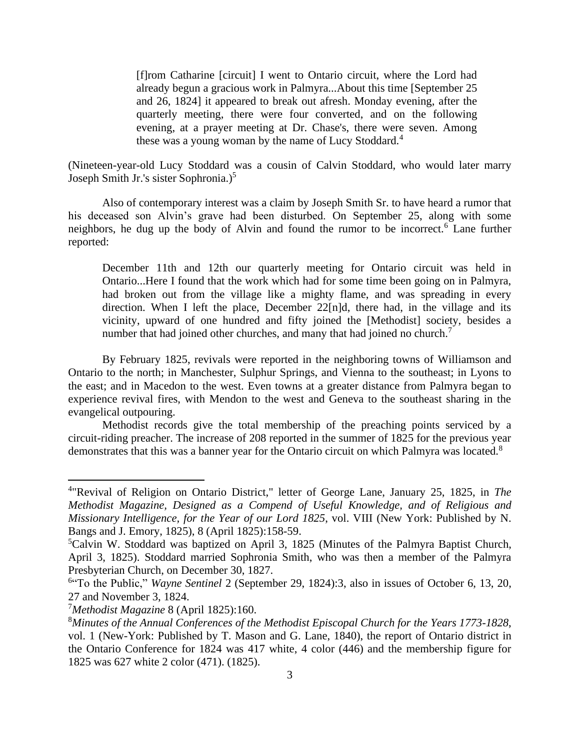[f]rom Catharine [circuit] I went to Ontario circuit, where the Lord had already begun a gracious work in Palmyra...About this time [September 25 and 26, 1824] it appeared to break out afresh. Monday evening, after the quarterly meeting, there were four converted, and on the following evening, at a prayer meeting at Dr. Chase's, there were seven. Among these was a young woman by the name of Lucy Stoddard.<sup>4</sup>

(Nineteen-year-old Lucy Stoddard was a cousin of Calvin Stoddard, who would later marry Joseph Smith Jr.'s sister Sophronia.)<sup>5</sup>

Also of contemporary interest was a claim by Joseph Smith Sr. to have heard a rumor that his deceased son Alvin's grave had been disturbed. On September 25, along with some neighbors, he dug up the body of Alvin and found the rumor to be incorrect.<sup>6</sup> Lane further reported:

December 11th and 12th our quarterly meeting for Ontario circuit was held in Ontario...Here I found that the work which had for some time been going on in Palmyra, had broken out from the village like a mighty flame, and was spreading in every direction. When I left the place, December 22[n]d, there had, in the village and its vicinity, upward of one hundred and fifty joined the [Methodist] society, besides a number that had joined other churches, and many that had joined no church.<sup>7</sup>

By February 1825, revivals were reported in the neighboring towns of Williamson and Ontario to the north; in Manchester, Sulphur Springs, and Vienna to the southeast; in Lyons to the east; and in Macedon to the west. Even towns at a greater distance from Palmyra began to experience revival fires, with Mendon to the west and Geneva to the southeast sharing in the evangelical outpouring.

Methodist records give the total membership of the preaching points serviced by a circuit-riding preacher. The increase of 208 reported in the summer of 1825 for the previous year demonstrates that this was a banner year for the Ontario circuit on which Palmyra was located.<sup>8</sup>

<sup>4</sup> "Revival of Religion on Ontario District," letter of George Lane, January 25, 1825, in *The Methodist Magazine, Designed as a Compend of Useful Knowledge, and of Religious and Missionary Intelligence, for the Year of our Lord 1825*, vol. VIII (New York: Published by N. Bangs and J. Emory, 1825), 8 (April 1825):158-59.

<sup>&</sup>lt;sup>5</sup>Calvin W. Stoddard was baptized on April 3, 1825 (Minutes of the Palmyra Baptist Church, April 3, 1825). Stoddard married Sophronia Smith, who was then a member of the Palmyra Presbyterian Church, on December 30, 1827.

<sup>6</sup> "To the Public," *Wayne Sentinel* 2 (September 29, 1824):3, also in issues of October 6, 13, 20, 27 and November 3, 1824.

<sup>7</sup>*Methodist Magazine* 8 (April 1825):160.

<sup>8</sup>*Minutes of the Annual Conferences of the Methodist Episcopal Church for the Years 1773-1828*, vol. 1 (New-York: Published by T. Mason and G. Lane, 1840), the report of Ontario district in the Ontario Conference for 1824 was 417 white, 4 color (446) and the membership figure for 1825 was 627 white 2 color (471). (1825).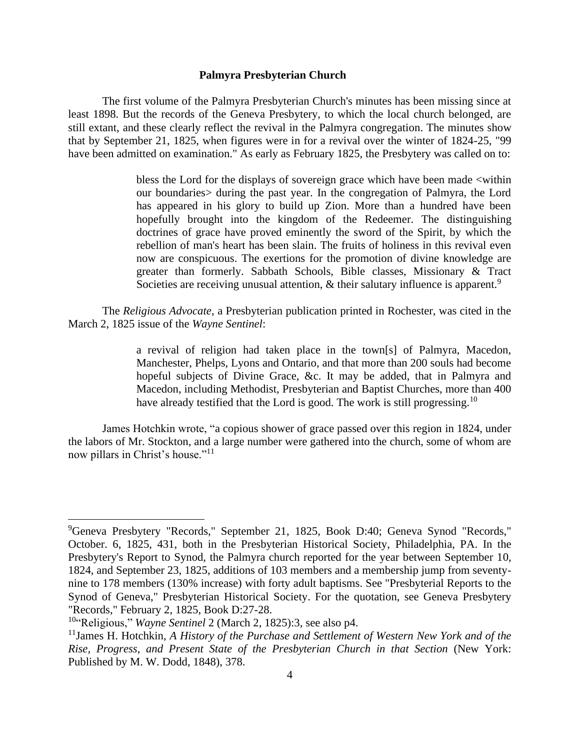# **Palmyra Presbyterian Church**

The first volume of the Palmyra Presbyterian Church's minutes has been missing since at least 1898. But the records of the Geneva Presbytery, to which the local church belonged, are still extant, and these clearly reflect the revival in the Palmyra congregation. The minutes show that by September 21, 1825, when figures were in for a revival over the winter of 1824-25, "99 have been admitted on examination." As early as February 1825, the Presbytery was called on to:

> bless the Lord for the displays of sovereign grace which have been made <within our boundaries> during the past year. In the congregation of Palmyra, the Lord has appeared in his glory to build up Zion. More than a hundred have been hopefully brought into the kingdom of the Redeemer. The distinguishing doctrines of grace have proved eminently the sword of the Spirit, by which the rebellion of man's heart has been slain. The fruits of holiness in this revival even now are conspicuous. The exertions for the promotion of divine knowledge are greater than formerly. Sabbath Schools, Bible classes, Missionary & Tract Societies are receiving unusual attention,  $\&$  their salutary influence is apparent.<sup>9</sup>

The *Religious Advocate*, a Presbyterian publication printed in Rochester, was cited in the March 2, 1825 issue of the *Wayne Sentinel*:

> a revival of religion had taken place in the town[s] of Palmyra, Macedon, Manchester, Phelps, Lyons and Ontario, and that more than 200 souls had become hopeful subjects of Divine Grace, &c. It may be added, that in Palmyra and Macedon, including Methodist, Presbyterian and Baptist Churches, more than 400 have already testified that the Lord is good. The work is still progressing.<sup>10</sup>

James Hotchkin wrote, "a copious shower of grace passed over this region in 1824, under the labors of Mr. Stockton, and a large number were gathered into the church, some of whom are now pillars in Christ's house."<sup>11</sup>

<sup>9</sup>Geneva Presbytery "Records," September 21, 1825, Book D:40; Geneva Synod "Records," October. 6, 1825, 431, both in the Presbyterian Historical Society, Philadelphia, PA. In the Presbytery's Report to Synod, the Palmyra church reported for the year between September 10, 1824, and September 23, 1825, additions of 103 members and a membership jump from seventynine to 178 members (130% increase) with forty adult baptisms. See "Presbyterial Reports to the Synod of Geneva," Presbyterian Historical Society. For the quotation, see Geneva Presbytery "Records," February 2, 1825, Book D:27-28.

<sup>10</sup>"Religious," *Wayne Sentinel* 2 (March 2, 1825):3, see also p4.

<sup>11</sup>James H. Hotchkin, *A History of the Purchase and Settlement of Western New York and of the Rise, Progress, and Present State of the Presbyterian Church in that Section* (New York: Published by M. W. Dodd, 1848), 378.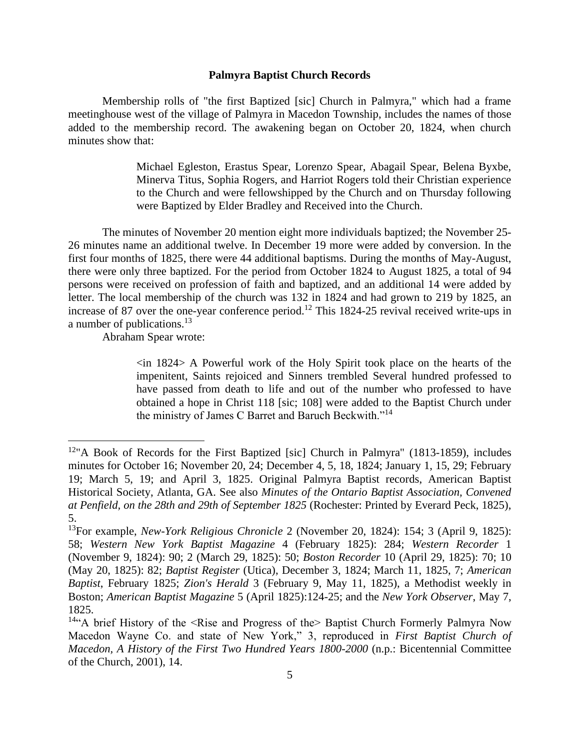## **Palmyra Baptist Church Records**

Membership rolls of "the first Baptized [sic] Church in Palmyra," which had a frame meetinghouse west of the village of Palmyra in Macedon Township, includes the names of those added to the membership record. The awakening began on October 20, 1824, when church minutes show that:

> Michael Egleston, Erastus Spear, Lorenzo Spear, Abagail Spear, Belena Byxbe, Minerva Titus, Sophia Rogers, and Harriot Rogers told their Christian experience to the Church and were fellowshipped by the Church and on Thursday following were Baptized by Elder Bradley and Received into the Church.

The minutes of November 20 mention eight more individuals baptized; the November 25- 26 minutes name an additional twelve. In December 19 more were added by conversion. In the first four months of 1825, there were 44 additional baptisms. During the months of May-August, there were only three baptized. For the period from October 1824 to August 1825, a total of 94 persons were received on profession of faith and baptized, and an additional 14 were added by letter. The local membership of the church was 132 in 1824 and had grown to 219 by 1825, an increase of 87 over the one-year conference period.<sup>12</sup> This 1824-25 revival received write-ups in a number of publications.<sup>13</sup>

Abraham Spear wrote:

 $\sin 1824$  A Powerful work of the Holy Spirit took place on the hearts of the impenitent, Saints rejoiced and Sinners trembled Several hundred professed to have passed from death to life and out of the number who professed to have obtained a hope in Christ 118 [sic; 108] were added to the Baptist Church under the ministry of James C Barret and Baruch Beckwith."<sup>14</sup>

<sup>&</sup>lt;sup>12</sup>"A Book of Records for the First Baptized [sic] Church in Palmyra" (1813-1859), includes minutes for October 16; November 20, 24; December 4, 5, 18, 1824; January 1, 15, 29; February 19; March 5, 19; and April 3, 1825. Original Palmyra Baptist records, American Baptist Historical Society, Atlanta, GA. See also *Minutes of the Ontario Baptist Association, Convened at Penfield, on the 28th and 29th of September 1825* (Rochester: Printed by Everard Peck, 1825), 5.

<sup>13</sup>For example, *New-York Religious Chronicle* 2 (November 20, 1824): 154; 3 (April 9, 1825): 58; *Western New York Baptist Magazine* 4 (February 1825): 284; *Western Recorder* 1 (November 9, 1824): 90; 2 (March 29, 1825): 50; *Boston Recorder* 10 (April 29, 1825): 70; 10 (May 20, 1825): 82; *Baptist Register* (Utica), December 3, 1824; March 11, 1825, 7; *American Baptist*, February 1825; *Zion's Herald* 3 (February 9, May 11, 1825), a Methodist weekly in Boston; *American Baptist Magazine* 5 (April 1825):124-25; and the *New York Observer*, May 7, 1825.

<sup>&</sup>lt;sup>14"</sup>A brief History of the <Rise and Progress of the Baptist Church Formerly Palmyra Now Macedon Wayne Co. and state of New York," 3, reproduced in *First Baptist Church of Macedon, A History of the First Two Hundred Years 1800-2000* (n.p.: Bicentennial Committee of the Church, 2001), 14.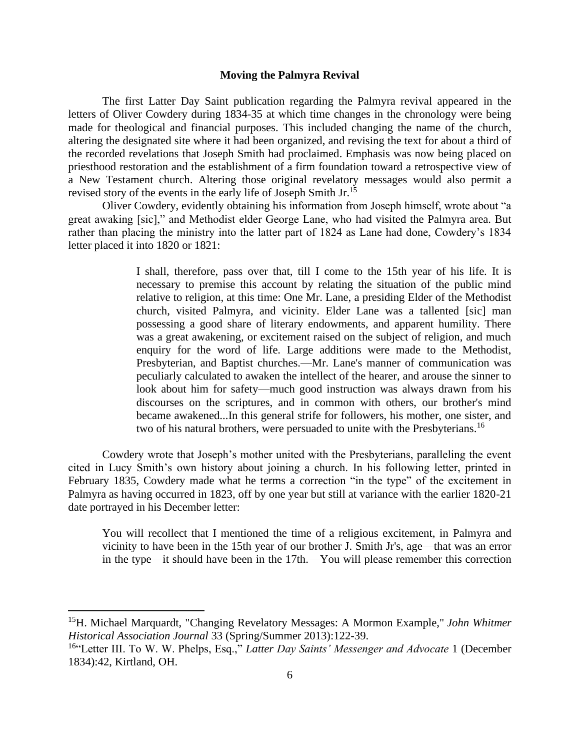## **Moving the Palmyra Revival**

The first Latter Day Saint publication regarding the Palmyra revival appeared in the letters of Oliver Cowdery during 1834-35 at which time changes in the chronology were being made for theological and financial purposes. This included changing the name of the church, altering the designated site where it had been organized, and revising the text for about a third of the recorded revelations that Joseph Smith had proclaimed. Emphasis was now being placed on priesthood restoration and the establishment of a firm foundation toward a retrospective view of a New Testament church. Altering those original revelatory messages would also permit a revised story of the events in the early life of Joseph Smith Jr.<sup>15</sup>

Oliver Cowdery, evidently obtaining his information from Joseph himself, wrote about "a great awaking [sic]," and Methodist elder George Lane, who had visited the Palmyra area. But rather than placing the ministry into the latter part of 1824 as Lane had done, Cowdery's 1834 letter placed it into 1820 or 1821:

> I shall, therefore, pass over that, till I come to the 15th year of his life. It is necessary to premise this account by relating the situation of the public mind relative to religion, at this time: One Mr. Lane, a presiding Elder of the Methodist church, visited Palmyra, and vicinity. Elder Lane was a tallented [sic] man possessing a good share of literary endowments, and apparent humility. There was a great awakening, or excitement raised on the subject of religion, and much enquiry for the word of life. Large additions were made to the Methodist, Presbyterian, and Baptist churches.—Mr. Lane's manner of communication was peculiarly calculated to awaken the intellect of the hearer, and arouse the sinner to look about him for safety—much good instruction was always drawn from his discourses on the scriptures, and in common with others, our brother's mind became awakened...In this general strife for followers, his mother, one sister, and two of his natural brothers, were persuaded to unite with the Presbyterians.<sup>16</sup>

Cowdery wrote that Joseph's mother united with the Presbyterians, paralleling the event cited in Lucy Smith's own history about joining a church. In his following letter, printed in February 1835, Cowdery made what he terms a correction "in the type" of the excitement in Palmyra as having occurred in 1823, off by one year but still at variance with the earlier 1820-21 date portrayed in his December letter:

You will recollect that I mentioned the time of a religious excitement, in Palmyra and vicinity to have been in the 15th year of our brother J. Smith Jr's, age—that was an error in the type—it should have been in the 17th.—You will please remember this correction

<sup>15</sup>H. Michael Marquardt, "Changing Revelatory Messages: A Mormon Example," *John Whitmer Historical Association Journal* 33 (Spring/Summer 2013):122-39.

<sup>16</sup>"Letter III. To W. W. Phelps, Esq.," *Latter Day Saints' Messenger and Advocate* 1 (December 1834):42, Kirtland, OH.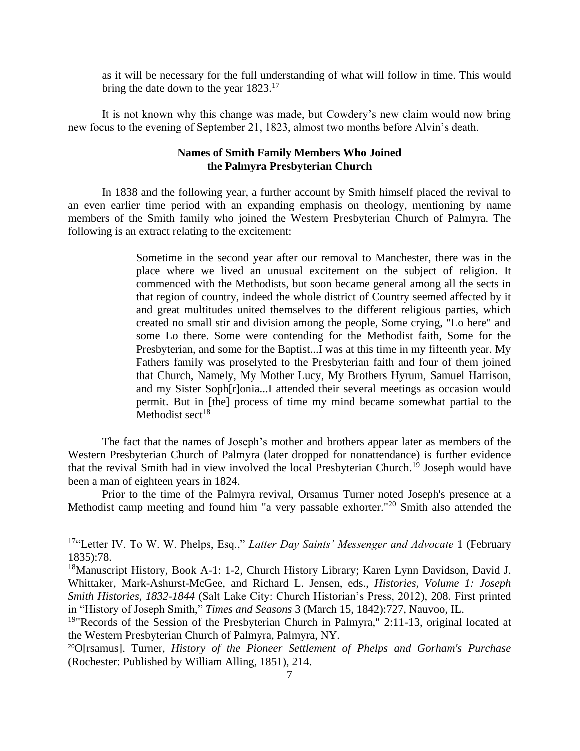as it will be necessary for the full understanding of what will follow in time. This would bring the date down to the year  $1823$ <sup>17</sup>

It is not known why this change was made, but Cowdery's new claim would now bring new focus to the evening of September 21, 1823, almost two months before Alvin's death.

## **Names of Smith Family Members Who Joined the Palmyra Presbyterian Church**

In 1838 and the following year, a further account by Smith himself placed the revival to an even earlier time period with an expanding emphasis on theology, mentioning by name members of the Smith family who joined the Western Presbyterian Church of Palmyra. The following is an extract relating to the excitement:

> Sometime in the second year after our removal to Manchester, there was in the place where we lived an unusual excitement on the subject of religion. It commenced with the Methodists, but soon became general among all the sects in that region of country, indeed the whole district of Country seemed affected by it and great multitudes united themselves to the different religious parties, which created no small stir and division among the people, Some crying, "Lo here" and some Lo there. Some were contending for the Methodist faith, Some for the Presbyterian, and some for the Baptist...I was at this time in my fifteenth year. My Fathers family was proselyted to the Presbyterian faith and four of them joined that Church, Namely, My Mother Lucy, My Brothers Hyrum, Samuel Harrison, and my Sister Soph[r]onia...I attended their several meetings as occasion would permit. But in [the] process of time my mind became somewhat partial to the Methodist sect $18$

The fact that the names of Joseph's mother and brothers appear later as members of the Western Presbyterian Church of Palmyra (later dropped for nonattendance) is further evidence that the revival Smith had in view involved the local Presbyterian Church.<sup>19</sup> Joseph would have been a man of eighteen years in 1824.

Prior to the time of the Palmyra revival, Orsamus Turner noted Joseph's presence at a Methodist camp meeting and found him "a very passable exhorter."<sup>20</sup> Smith also attended the

<sup>17</sup>"Letter IV. To W. W. Phelps, Esq.," *Latter Day Saints' Messenger and Advocate* 1 (February 1835):78.

<sup>&</sup>lt;sup>18</sup>Manuscript History, Book A-1: 1-2, Church History Library; Karen Lynn Davidson, David J. Whittaker, Mark-Ashurst-McGee, and Richard L. Jensen, eds., *Histories, Volume 1: Joseph Smith Histories, 1832-1844* (Salt Lake City: Church Historian's Press, 2012), 208. First printed in "History of Joseph Smith," *Times and Seasons* 3 (March 15, 1842):727, Nauvoo, IL.

 $19$ "Records of the Session of the Presbyterian Church in Palmyra," 2:11-13, original located at the Western Presbyterian Church of Palmyra, Palmyra, NY.

<sup>20</sup>O[rsamus]. Turner, *History of the Pioneer Settlement of Phelps and Gorham's Purchase* (Rochester: Published by William Alling, 1851), 214.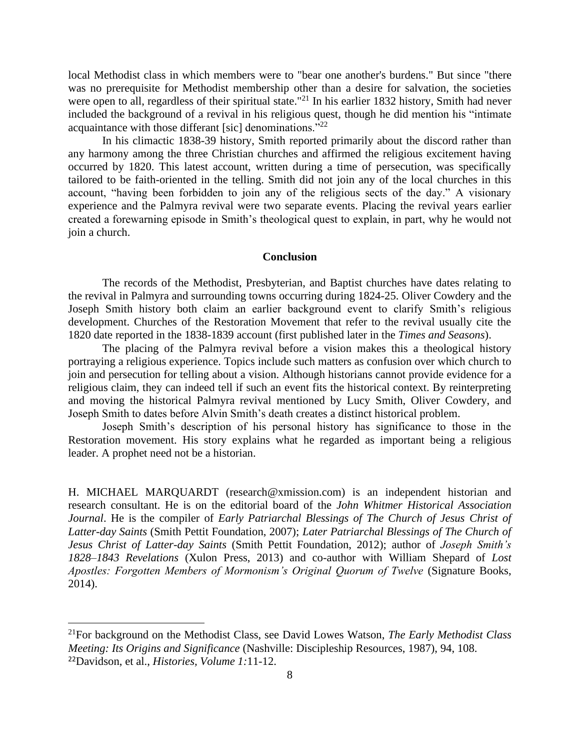local Methodist class in which members were to "bear one another's burdens." But since "there was no prerequisite for Methodist membership other than a desire for salvation, the societies were open to all, regardless of their spiritual state."<sup>21</sup> In his earlier 1832 history, Smith had never included the background of a revival in his religious quest, though he did mention his "intimate acquaintance with those differant [sic] denominations."<sup>22</sup>

In his climactic 1838-39 history, Smith reported primarily about the discord rather than any harmony among the three Christian churches and affirmed the religious excitement having occurred by 1820. This latest account, written during a time of persecution, was specifically tailored to be faith-oriented in the telling. Smith did not join any of the local churches in this account, "having been forbidden to join any of the religious sects of the day." A visionary experience and the Palmyra revival were two separate events. Placing the revival years earlier created a forewarning episode in Smith's theological quest to explain, in part, why he would not join a church.

### **Conclusion**

The records of the Methodist, Presbyterian, and Baptist churches have dates relating to the revival in Palmyra and surrounding towns occurring during 1824-25. Oliver Cowdery and the Joseph Smith history both claim an earlier background event to clarify Smith's religious development. Churches of the Restoration Movement that refer to the revival usually cite the 1820 date reported in the 1838-1839 account (first published later in the *Times and Seasons*).

The placing of the Palmyra revival before a vision makes this a theological history portraying a religious experience. Topics include such matters as confusion over which church to join and persecution for telling about a vision. Although historians cannot provide evidence for a religious claim, they can indeed tell if such an event fits the historical context. By reinterpreting and moving the historical Palmyra revival mentioned by Lucy Smith, Oliver Cowdery, and Joseph Smith to dates before Alvin Smith's death creates a distinct historical problem.

Joseph Smith's description of his personal history has significance to those in the Restoration movement. His story explains what he regarded as important being a religious leader. A prophet need not be a historian.

H. MICHAEL MARQUARDT (research@xmission.com) is an independent historian and research consultant. He is on the editorial board of the *John Whitmer Historical Association Journal*. He is the compiler of *Early Patriarchal Blessings of The Church of Jesus Christ of Latter-day Saints* (Smith Pettit Foundation, 2007); *Later Patriarchal Blessings of The Church of Jesus Christ of Latter-day Saints* (Smith Pettit Foundation, 2012); author of *Joseph Smith's 1828–1843 Revelations* (Xulon Press, 2013) and co-author with William Shepard of *Lost Apostles: Forgotten Members of Mormonism's Original Quorum of Twelve* (Signature Books, 2014).

<sup>21</sup>For background on the Methodist Class, see David Lowes Watson, *The Early Methodist Class Meeting: Its Origins and Significance* (Nashville: Discipleship Resources, 1987), 94, 108. 22Davidson, et al., *Histories, Volume 1:*11-12.